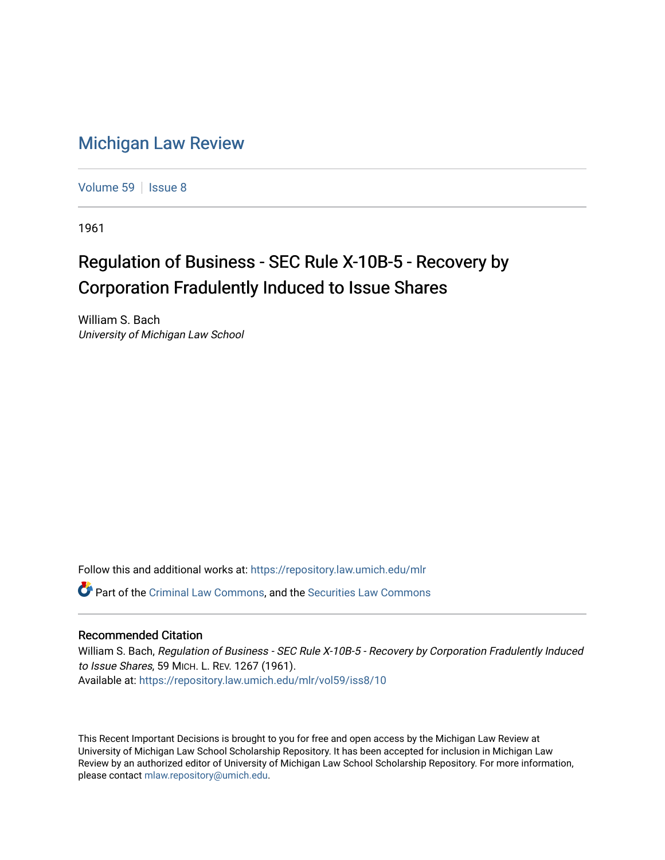## [Michigan Law Review](https://repository.law.umich.edu/mlr)

[Volume 59](https://repository.law.umich.edu/mlr/vol59) | [Issue 8](https://repository.law.umich.edu/mlr/vol59/iss8)

1961

## Regulation of Business - SEC Rule X-10B-5 - Recovery by Corporation Fradulently Induced to Issue Shares

William S. Bach University of Michigan Law School

Follow this and additional works at: [https://repository.law.umich.edu/mlr](https://repository.law.umich.edu/mlr?utm_source=repository.law.umich.edu%2Fmlr%2Fvol59%2Fiss8%2F10&utm_medium=PDF&utm_campaign=PDFCoverPages) 

Part of the [Criminal Law Commons,](http://network.bepress.com/hgg/discipline/912?utm_source=repository.law.umich.edu%2Fmlr%2Fvol59%2Fiss8%2F10&utm_medium=PDF&utm_campaign=PDFCoverPages) and the [Securities Law Commons](http://network.bepress.com/hgg/discipline/619?utm_source=repository.law.umich.edu%2Fmlr%2Fvol59%2Fiss8%2F10&utm_medium=PDF&utm_campaign=PDFCoverPages) 

## Recommended Citation

William S. Bach, Regulation of Business - SEC Rule X-10B-5 - Recovery by Corporation Fradulently Induced to Issue Shares, 59 MICH. L. REV. 1267 (1961). Available at: [https://repository.law.umich.edu/mlr/vol59/iss8/10](https://repository.law.umich.edu/mlr/vol59/iss8/10?utm_source=repository.law.umich.edu%2Fmlr%2Fvol59%2Fiss8%2F10&utm_medium=PDF&utm_campaign=PDFCoverPages) 

This Recent Important Decisions is brought to you for free and open access by the Michigan Law Review at University of Michigan Law School Scholarship Repository. It has been accepted for inclusion in Michigan Law Review by an authorized editor of University of Michigan Law School Scholarship Repository. For more information, please contact [mlaw.repository@umich.edu.](mailto:mlaw.repository@umich.edu)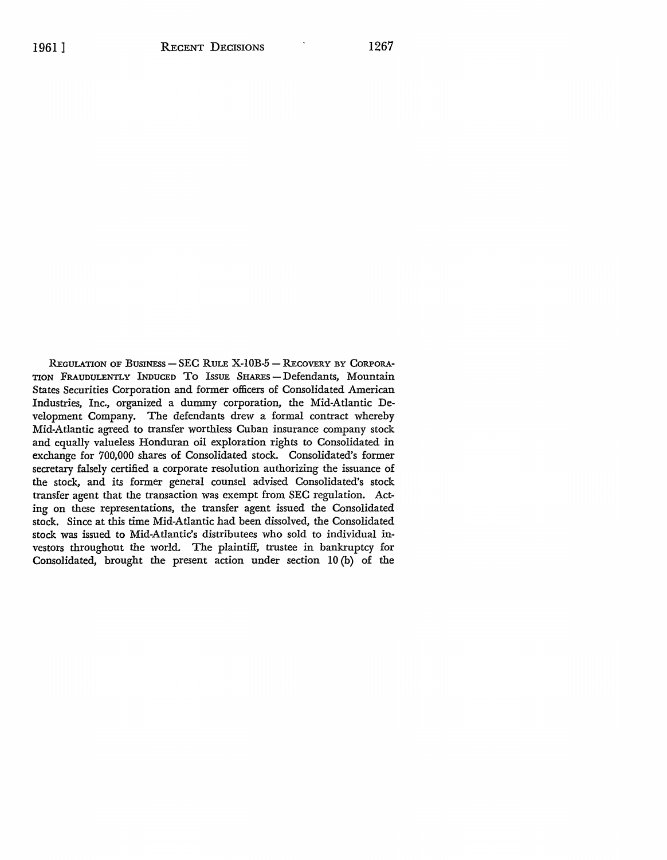REGULATION OF BUSINESS - SEC RULE X-10B-5 - RECOVERY BY CORPORA-TION FRAUDULENTLY INDUCED TO ISSUE SHARES-Defendants, Mountain States Securities Corporation and former officers of Consolidated American Industries, Inc., organized a dummy corporation, the Mid-Atlantic Development Company. The defendants drew a formal contract whereby Mid-Atlantic agreed to transfer worthless Cuban insurance company stock and equally valueless Honduran oil exploration rights to Consolidated in exchange for 700,000 shares of Consolidated stock. Consolidated's former secretary falsely certified a corporate resolution authorizing the issuance of the stock, and its former general counsel advised Consolidated's stock transfer agent that the transaction was exempt from SEC regulation. Acting on these representations, the transfer agent issued the Consolidated stock. Since at this time Mid-Atlantic had been dissolved, the Consolidated stock was issued to Mid-Atlantic's distributees who sold to individual investors throughout the world. The plaintiff, trustee in bankruptcy for Consolidated, brought the present action under section 10 (b) of the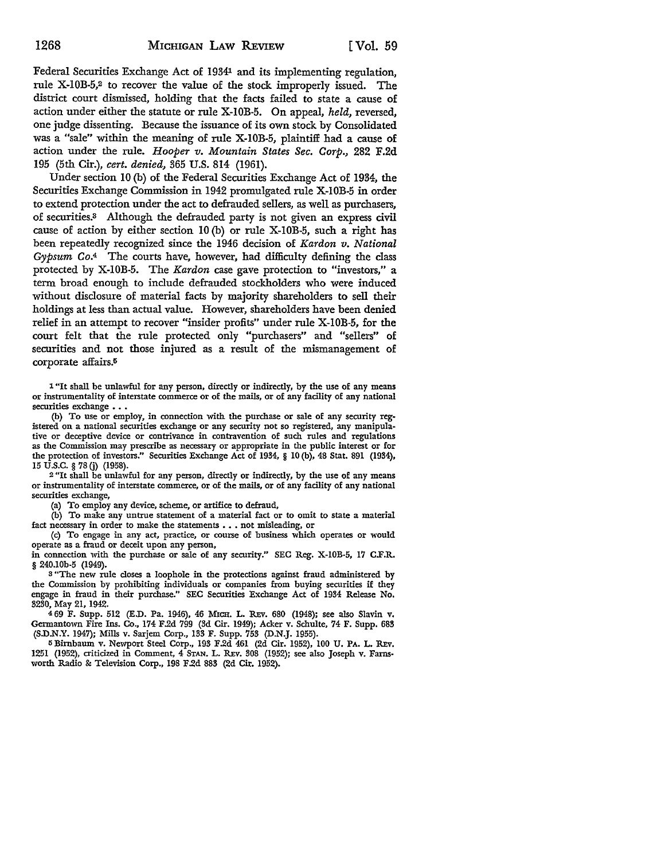Federal Securities Exchange Act of 19341 and its implementing regulation, rule X-IOB-5,2 to recover the value of the stock improperly issued. The district court dismissed, holding that the facts failed to state a cause of action under either the statute or rule X-I0B-5. On appeal, *held,* reversed, one judge dissenting. Because the issuance of its own stock by Consolidated was a "sale" within the meaning of rule X-IOB-5, plaintiff had a cause of action under the rule. *Hooper v. Mountain States Sec. Corp.,* 282 F.2d 195 (5th Cir.), *cert. denied,* 365 U.S. 814 (1961).

Under section IO (b) of the Federal Securities Exchange Act of 1934, the Securities Exchange Commission in 1942 promulgated rule X-l0B-5 in order *to* extend protection under the act *to* defrauded sellers, as well as purchasers, of securities.3 Although the defrauded party is not given an express civil cause of action by either section IO (b) or rule X-IOB-5, such a right has been repeatedly recognized since the 1946 decision of *Kardon v. National Gypsum* Co.4 The courts have, however, had difficulty defining the class protected by X-IOB-5. The *Kardon* case gave protection *to* "investors," a term broad enough to include defrauded stockholders who were induced without disclosure of material facts by majority shareholders to sell their holdings at less than actual value. However, shareholders have been denied relief in an attempt to recover "insider profits" under rule X-I0B-5, for the court felt that the rule protected only "purchasers" and "sellers" of securities and not those injured as a result of the mismanagement of corporate affairs.<sup>5</sup>

1 "It shall be unlawful for any person, directly or indirectly, by the use of any means or instrumentality of interstate commerce or of the mails, or of any facility of any national securities exchange . . .

(b) To use or employ, in connection with the purchase or sale of any security registered on a national securities exchange or any security not so registered, any manipulative or deceptive device or contrivance in contravention of such rules and regulations as the Commission may prescribe as necessary or appropriate in the public interest or for the protection of investors." Securities Exchange Act of 1934, § 10 (b), 48 Stat. 891 (1934), 15 U.S.C. § 78 (j) (1958).

<sup>2</sup>"It shall be unlawful for any person, directly or indirectly, by the use of any means or instrumentality of interstate commerce, or of the mails, or of any facility of any national securities exchange,

(a) To employ any device, scheme, or artifice to defraud,

(b) To make any untrue statement of a material fact or to omit to state a material fact necessary in order to make the statements . . . not misleading, or

(c) To engage in any act, practice, or course of business which operates or would operate as a fraud or deceit upon any person,

in connection with the purchase or sale of any security." SEC Reg. X-l0B-5, 17 C.F.R. § 240.lOb-5 (1949).

<sup>3</sup>"The new rule closes a loophole in the protections against fraud administered by the Commission by prohibiting individuals or companies from buying securities if they engage in fraud in their purchase." SEC Securities Exchange Act of 1934 Release No. 3230, May 21, 1942.

4 69 F. Supp. 512 (E.D. Pa. 1946), 46 MICH. L. REv. 680 (1948); see also Slavin v. Germantown Fire Ins. Co., 174 F.2d 799 (3d Cir. 1949); Acker v. Schulte, 74 F. Supp. 683 (S.D.N.Y. 1947); Mills v. Sarjem Corp., 133 F. Supp. 753 (D.N.J. 1955).

5 Birnbaum v. Newport Steel Corp., 193 F.2d 461 (2d Cir. 1952), 100 U. PA. L. REv. 1251 (1952), criticized in Comment, 4 STAN. L. REv. 308 (1952); see also Joseph v. Farnsworth Radio & Television Corp., 198 F.2d 883 (2d Cir. 1952).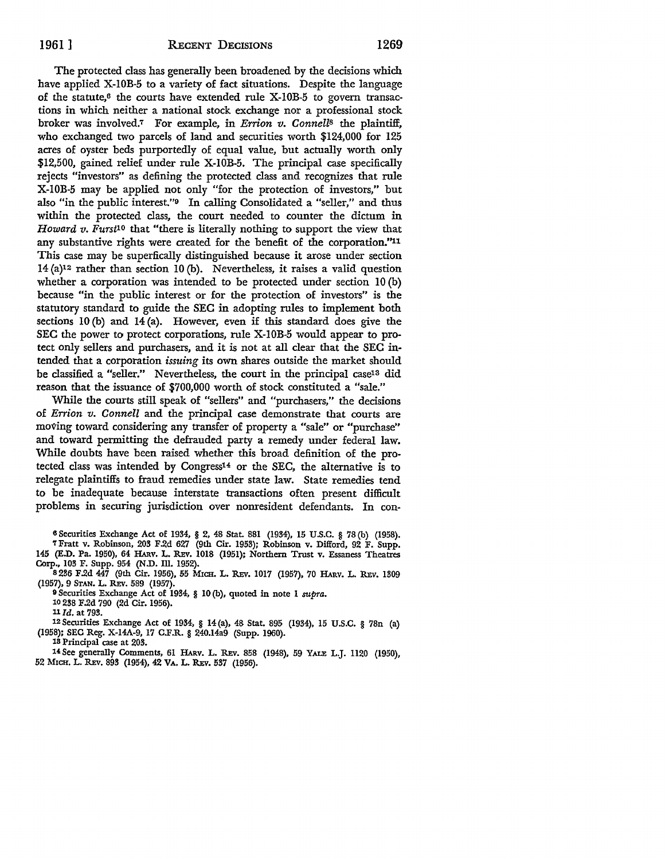The protected class has generally been broadened by the decisions which have applied X-IOB-5 to a variety of fact situations. Despite the language of the statute, $6$  the courts have extended rule X-10B-5 to govern transactions in which neither a national stock exchange nor a professional stock broker was involved.7 For example, in *Errion v. Connells* the plaintiff, who exchanged two parcels of land and securities worth \$124,000 for 125 acres of oyster beds purportedly of equal value, but actually worth only \$12,500, gained relief under rule X-IOB-5. The principal case specifically rejects "investors" as defining the protected class and recognizes that rule X-IOB-5 may be applied not only "for the protection of investors,'' but also "in the public interest.''9 In calling Consolidated a "seller," and thus within the protected class, the court needed to counter the dictum in *Howard v. Furstio* that "there is literally nothing to support the view that any substantive rights were created for the benefit of the corporation.''11 This case may be superfically distinguished because it arose under section 14 (a)12 rather than section IO (b). Nevertheless, it raises a valid question whether a corporation was intended to be protected under section IO (b) because "in the public interest or for the protection of investors" is the statutory standard to guide the SEC in adopting rules to implement both sections IO (b) and 14 (a). However, even if this standard does give the SEC the power to protect corporations, rule X-IOB-5 would appear to protect only sellers and purchasers, and it is not at all clear that the SEC intended that a corporation *issuing* its own shares outside the market should be classified a "seller." Nevertheless, the court in the principal case<sup>13</sup> did reason that the issuance of \$700,000 worth of stock constituted a "sale."

While the courts still speak of "sellers" and "purchasers," the decisions of *Errion v. Connell* and the principal case demonstrate that courts are moving toward considering any transfer of property a "sale" or "purchase" and toward permitting the defrauded party a remedy under federal law. While doubts have been raised whether this broad definition of the protected class was intended by Congress14 or the SEC, the alternative is to relegate plaintiffs to fraud remedies under state law. State remedies tend to be inadequate because interstate transactions often present difficult problems in securing jurisdiction over nonresident defendants. In con-

6 Securities Exchange Act of 1934, § 2, 48 Stat. 881 (1934), 15 U.S.C. § 78 (b) (1958). 7Fratt v. Robinson, 203 F-2d 627 (9th Cir. 1953); Robinson v. Difford, 92 F. Supp. 145 (E.D. Pa. 1950), 64 HARv. L. REv. 1018 (1951); Northern Trust v. Essaness Theatres Corp., 103 F. Supp. 954 (N.D. Ill. 1952).

8236 F.2d 447 (9th Cir. 1956), 55 MICH. L. REV. 1017 (1957), 70 HARV. L. REV. 1309 (1957), 9 STAN. L. REv. 589 (1957).

o Securities Exchange Act of 1934, § 10 (b), quoted in note I *supra.* 

10 238 F-2d 790 (2d Cir. 1956).

<sup>11</sup>*Id.* at 793.

12 Securities Exchange Act of 1934, § 14 (a), 48 Stat. 895 (1934), 15 U.S.C. § 78n (a) (1958); SEC Reg. X-14A-9, 17 C.F.R. § 240.14a9 (Supp. 1960).

18 Principal case at 203.

*14.* See generally Comments, 61 HARv. L. REv. 858 (1948), 59 YALE L.J. 1120 (1950), 52 MICH. L. REv. 893 (1954), 42 VA. L. REv. 537 (1956).